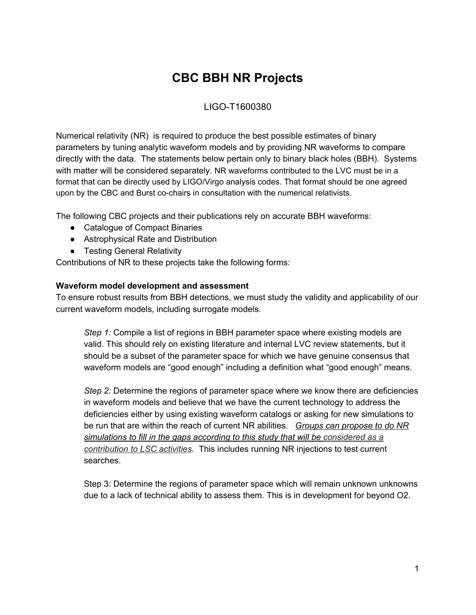# **CBC BBH NR Projects**

## LIGO-T1600380

Numerical relativity (NR) is required to produce the best possible estimates of binary parameters by tuning analytic waveform models and by providing NR waveforms to compare directly with the data. The statements below pertain only to binary black holes (BBH). Systems with matter will be considered separately. NR waveforms contributed to the LVC must be in a format that can be directly used by LIGO/Virgo analysis codes. That format should be one agreed upon by the CBC and Burst co-chairs in consultation with the numerical relativists.

The following CBC projects and their publications rely on accurate BBH waveforms:

- Catalogue of Compact Binaries
- Astrophysical Rate and Distribution
- Testing General Relativity

Contributions of NR to these projects take the following forms:

#### **Waveform model development and assessment**

To ensure robust results from BBH detections, we must study the validity and applicability of our current waveform models, including surrogate models.

*Step 1:* Compile a list of regions in BBH parameter space where existing models are valid. This should rely on existing literature and internal LVC review statements, but it should be a subset of the parameter space for which we have genuine consensus that waveform models are "good enough" including a definition what "good enough" means.

*Step 2:* Determine the regions of parameter space where we know there are deficiencies in waveform models and believe that we have the current technology to address the deficiencies either by using existing waveform catalogs or asking for new simulations to be run that are within the reach of current NR abilities. *Groups can propose to do NR simulations to fill in the gaps according to this study that will be considered as a contribution to LSC activities.* This includes running NR injections to test current searches.

Step 3: Determine the regions of parameter space which will remain unknown unknowns due to a lack of technical ability to assess them. This is in development for beyond O2.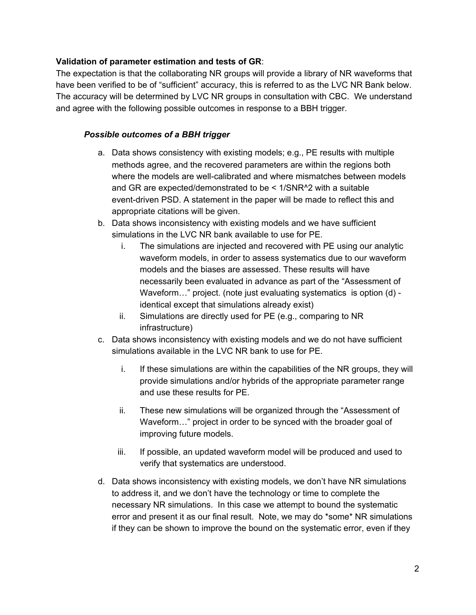#### **Validation of parameter estimation and tests of GR**:

The expectation is that the collaborating NR groups will provide a library of NR waveforms that have been verified to be of "sufficient" accuracy, this is referred to as the LVC NR Bank below. The accuracy will be determined by LVC NR groups in consultation with CBC. We understand and agree with the following possible outcomes in response to a BBH trigger.

#### *Possible outcomes of a BBH trigger*

- a. Data shows consistency with existing models; e.g., PE results with multiple methods agree, and the recovered parameters are within the regions both where the models are well-calibrated and where mismatches between models and GR are expected/demonstrated to be < 1/SNR^2 with a suitable event-driven PSD. A statement in the paper will be made to reflect this and appropriate citations will be given.
- b. Data shows inconsistency with existing models and we have sufficient simulations in the LVC NR bank available to use for PE.
	- i. The simulations are injected and recovered with PE using our analytic waveform models, in order to assess systematics due to our waveform models and the biases are assessed. These results will have necessarily been evaluated in advance as part of the "Assessment of Waveform..." project. (note just evaluating systematics is option (d) identical except that simulations already exist)
	- ii. Simulations are directly used for PE (e.g., comparing to NR infrastructure)
- c. Data shows inconsistency with existing models and we do not have sufficient simulations available in the LVC NR bank to use for PE.
	- i. If these simulations are within the capabilities of the NR groups, they will provide simulations and/or hybrids of the appropriate parameter range and use these results for PE.
	- ii. These new simulations will be organized through the "Assessment of Waveform…" project in order to be synced with the broader goal of improving future models.
	- iii. If possible, an updated waveform model will be produced and used to verify that systematics are understood.
- d. Data shows inconsistency with existing models, we don't have NR simulations to address it, and we don't have the technology or time to complete the necessary NR simulations. In this case we attempt to bound the systematic error and present it as our final result. Note, we may do \*some\* NR simulations if they can be shown to improve the bound on the systematic error, even if they